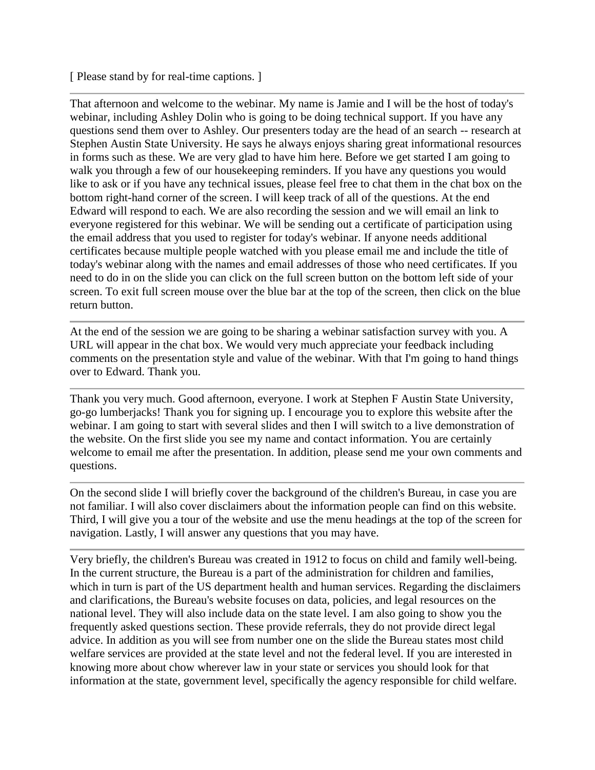[ Please stand by for real-time captions. ]

That afternoon and welcome to the webinar. My name is Jamie and I will be the host of today's webinar, including Ashley Dolin who is going to be doing technical support. If you have any questions send them over to Ashley. Our presenters today are the head of an search -- research at Stephen Austin State University. He says he always enjoys sharing great informational resources in forms such as these. We are very glad to have him here. Before we get started I am going to walk you through a few of our housekeeping reminders. If you have any questions you would like to ask or if you have any technical issues, please feel free to chat them in the chat box on the bottom right-hand corner of the screen. I will keep track of all of the questions. At the end Edward will respond to each. We are also recording the session and we will email an link to everyone registered for this webinar. We will be sending out a certificate of participation using the email address that you used to register for today's webinar. If anyone needs additional certificates because multiple people watched with you please email me and include the title of today's webinar along with the names and email addresses of those who need certificates. If you need to do in on the slide you can click on the full screen button on the bottom left side of your screen. To exit full screen mouse over the blue bar at the top of the screen, then click on the blue return button.

At the end of the session we are going to be sharing a webinar satisfaction survey with you. A URL will appear in the chat box. We would very much appreciate your feedback including comments on the presentation style and value of the webinar. With that I'm going to hand things over to Edward. Thank you.

Thank you very much. Good afternoon, everyone. I work at Stephen F Austin State University, go-go lumberjacks! Thank you for signing up. I encourage you to explore this website after the webinar. I am going to start with several slides and then I will switch to a live demonstration of the website. On the first slide you see my name and contact information. You are certainly welcome to email me after the presentation. In addition, please send me your own comments and questions.

On the second slide I will briefly cover the background of the children's Bureau, in case you are not familiar. I will also cover disclaimers about the information people can find on this website. Third, I will give you a tour of the website and use the menu headings at the top of the screen for navigation. Lastly, I will answer any questions that you may have.

Very briefly, the children's Bureau was created in 1912 to focus on child and family well-being. In the current structure, the Bureau is a part of the administration for children and families, which in turn is part of the US department health and human services. Regarding the disclaimers and clarifications, the Bureau's website focuses on data, policies, and legal resources on the national level. They will also include data on the state level. I am also going to show you the frequently asked questions section. These provide referrals, they do not provide direct legal advice. In addition as you will see from number one on the slide the Bureau states most child welfare services are provided at the state level and not the federal level. If you are interested in knowing more about chow wherever law in your state or services you should look for that information at the state, government level, specifically the agency responsible for child welfare.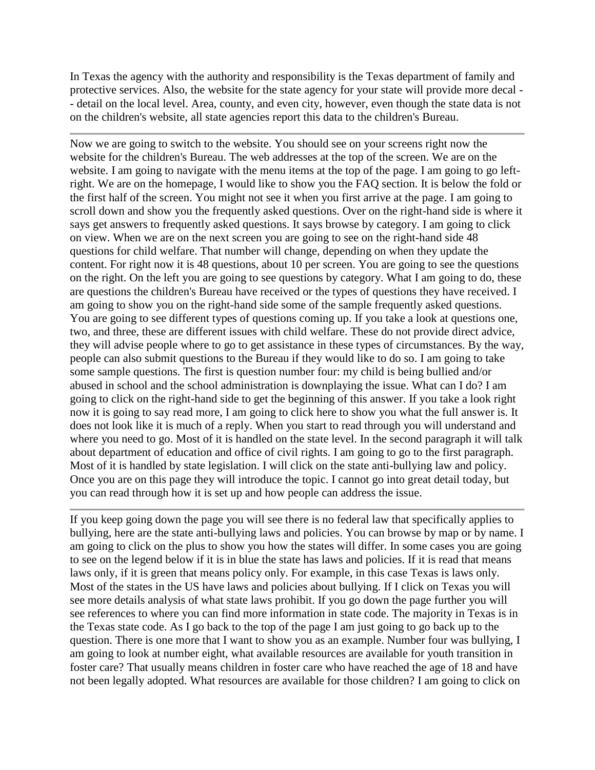In Texas the agency with the authority and responsibility is the Texas department of family and protective services. Also, the website for the state agency for your state will provide more decal - - detail on the local level. Area, county, and even city, however, even though the state data is not on the children's website, all state agencies report this data to the children's Bureau.

Now we are going to switch to the website. You should see on your screens right now the website for the children's Bureau. The web addresses at the top of the screen. We are on the website. I am going to navigate with the menu items at the top of the page. I am going to go leftright. We are on the homepage, I would like to show you the FAQ section. It is below the fold or the first half of the screen. You might not see it when you first arrive at the page. I am going to scroll down and show you the frequently asked questions. Over on the right-hand side is where it says get answers to frequently asked questions. It says browse by category. I am going to click on view. When we are on the next screen you are going to see on the right-hand side 48 questions for child welfare. That number will change, depending on when they update the content. For right now it is 48 questions, about 10 per screen. You are going to see the questions on the right. On the left you are going to see questions by category. What I am going to do, these are questions the children's Bureau have received or the types of questions they have received. I am going to show you on the right-hand side some of the sample frequently asked questions. You are going to see different types of questions coming up. If you take a look at questions one, two, and three, these are different issues with child welfare. These do not provide direct advice, they will advise people where to go to get assistance in these types of circumstances. By the way, people can also submit questions to the Bureau if they would like to do so. I am going to take some sample questions. The first is question number four: my child is being bullied and/or abused in school and the school administration is downplaying the issue. What can I do? I am going to click on the right-hand side to get the beginning of this answer. If you take a look right now it is going to say read more, I am going to click here to show you what the full answer is. It does not look like it is much of a reply. When you start to read through you will understand and where you need to go. Most of it is handled on the state level. In the second paragraph it will talk about department of education and office of civil rights. I am going to go to the first paragraph. Most of it is handled by state legislation. I will click on the state anti-bullying law and policy. Once you are on this page they will introduce the topic. I cannot go into great detail today, but you can read through how it is set up and how people can address the issue.

If you keep going down the page you will see there is no federal law that specifically applies to bullying, here are the state anti-bullying laws and policies. You can browse by map or by name. I am going to click on the plus to show you how the states will differ. In some cases you are going to see on the legend below if it is in blue the state has laws and policies. If it is read that means laws only, if it is green that means policy only. For example, in this case Texas is laws only. Most of the states in the US have laws and policies about bullying. If I click on Texas you will see more details analysis of what state laws prohibit. If you go down the page further you will see references to where you can find more information in state code. The majority in Texas is in the Texas state code. As I go back to the top of the page I am just going to go back up to the question. There is one more that I want to show you as an example. Number four was bullying, I am going to look at number eight, what available resources are available for youth transition in foster care? That usually means children in foster care who have reached the age of 18 and have not been legally adopted. What resources are available for those children? I am going to click on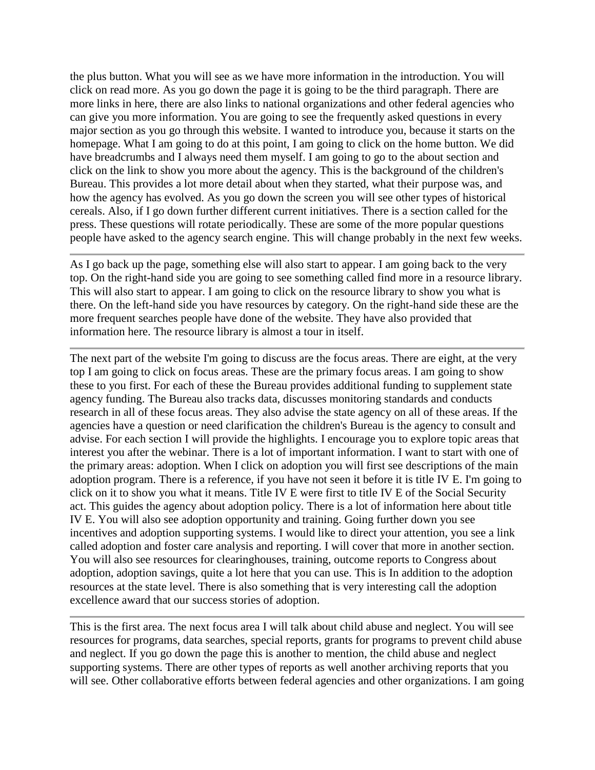the plus button. What you will see as we have more information in the introduction. You will click on read more. As you go down the page it is going to be the third paragraph. There are more links in here, there are also links to national organizations and other federal agencies who can give you more information. You are going to see the frequently asked questions in every major section as you go through this website. I wanted to introduce you, because it starts on the homepage. What I am going to do at this point, I am going to click on the home button. We did have breadcrumbs and I always need them myself. I am going to go to the about section and click on the link to show you more about the agency. This is the background of the children's Bureau. This provides a lot more detail about when they started, what their purpose was, and how the agency has evolved. As you go down the screen you will see other types of historical cereals. Also, if I go down further different current initiatives. There is a section called for the press. These questions will rotate periodically. These are some of the more popular questions people have asked to the agency search engine. This will change probably in the next few weeks.

As I go back up the page, something else will also start to appear. I am going back to the very top. On the right-hand side you are going to see something called find more in a resource library. This will also start to appear. I am going to click on the resource library to show you what is there. On the left-hand side you have resources by category. On the right-hand side these are the more frequent searches people have done of the website. They have also provided that information here. The resource library is almost a tour in itself.

The next part of the website I'm going to discuss are the focus areas. There are eight, at the very top I am going to click on focus areas. These are the primary focus areas. I am going to show these to you first. For each of these the Bureau provides additional funding to supplement state agency funding. The Bureau also tracks data, discusses monitoring standards and conducts research in all of these focus areas. They also advise the state agency on all of these areas. If the agencies have a question or need clarification the children's Bureau is the agency to consult and advise. For each section I will provide the highlights. I encourage you to explore topic areas that interest you after the webinar. There is a lot of important information. I want to start with one of the primary areas: adoption. When I click on adoption you will first see descriptions of the main adoption program. There is a reference, if you have not seen it before it is title IV E. I'm going to click on it to show you what it means. Title IV E were first to title IV E of the Social Security act. This guides the agency about adoption policy. There is a lot of information here about title IV E. You will also see adoption opportunity and training. Going further down you see incentives and adoption supporting systems. I would like to direct your attention, you see a link called adoption and foster care analysis and reporting. I will cover that more in another section. You will also see resources for clearinghouses, training, outcome reports to Congress about adoption, adoption savings, quite a lot here that you can use. This is In addition to the adoption resources at the state level. There is also something that is very interesting call the adoption excellence award that our success stories of adoption.

This is the first area. The next focus area I will talk about child abuse and neglect. You will see resources for programs, data searches, special reports, grants for programs to prevent child abuse and neglect. If you go down the page this is another to mention, the child abuse and neglect supporting systems. There are other types of reports as well another archiving reports that you will see. Other collaborative efforts between federal agencies and other organizations. I am going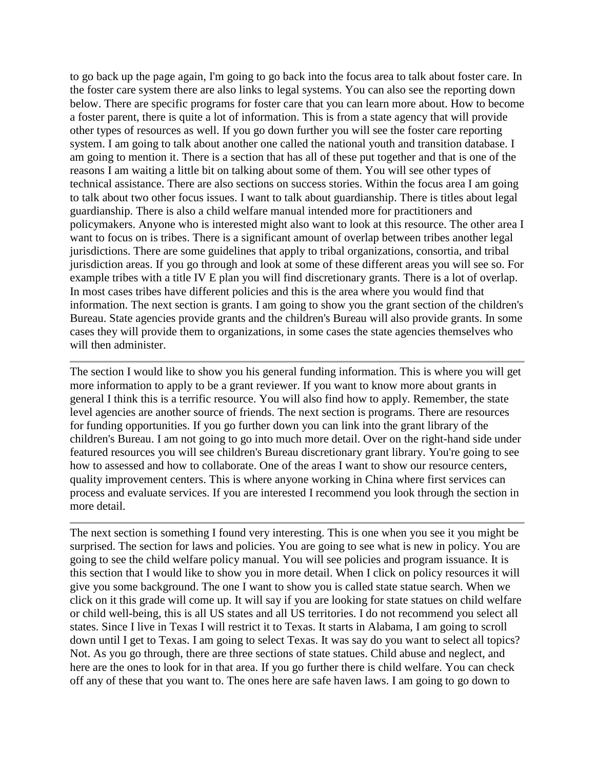to go back up the page again, I'm going to go back into the focus area to talk about foster care. In the foster care system there are also links to legal systems. You can also see the reporting down below. There are specific programs for foster care that you can learn more about. How to become a foster parent, there is quite a lot of information. This is from a state agency that will provide other types of resources as well. If you go down further you will see the foster care reporting system. I am going to talk about another one called the national youth and transition database. I am going to mention it. There is a section that has all of these put together and that is one of the reasons I am waiting a little bit on talking about some of them. You will see other types of technical assistance. There are also sections on success stories. Within the focus area I am going to talk about two other focus issues. I want to talk about guardianship. There is titles about legal guardianship. There is also a child welfare manual intended more for practitioners and policymakers. Anyone who is interested might also want to look at this resource. The other area I want to focus on is tribes. There is a significant amount of overlap between tribes another legal jurisdictions. There are some guidelines that apply to tribal organizations, consortia, and tribal jurisdiction areas. If you go through and look at some of these different areas you will see so. For example tribes with a title IV E plan you will find discretionary grants. There is a lot of overlap. In most cases tribes have different policies and this is the area where you would find that information. The next section is grants. I am going to show you the grant section of the children's Bureau. State agencies provide grants and the children's Bureau will also provide grants. In some cases they will provide them to organizations, in some cases the state agencies themselves who will then administer.

The section I would like to show you his general funding information. This is where you will get more information to apply to be a grant reviewer. If you want to know more about grants in general I think this is a terrific resource. You will also find how to apply. Remember, the state level agencies are another source of friends. The next section is programs. There are resources for funding opportunities. If you go further down you can link into the grant library of the children's Bureau. I am not going to go into much more detail. Over on the right-hand side under featured resources you will see children's Bureau discretionary grant library. You're going to see how to assessed and how to collaborate. One of the areas I want to show our resource centers, quality improvement centers. This is where anyone working in China where first services can process and evaluate services. If you are interested I recommend you look through the section in more detail.

The next section is something I found very interesting. This is one when you see it you might be surprised. The section for laws and policies. You are going to see what is new in policy. You are going to see the child welfare policy manual. You will see policies and program issuance. It is this section that I would like to show you in more detail. When I click on policy resources it will give you some background. The one I want to show you is called state statue search. When we click on it this grade will come up. It will say if you are looking for state statues on child welfare or child well-being, this is all US states and all US territories. I do not recommend you select all states. Since I live in Texas I will restrict it to Texas. It starts in Alabama, I am going to scroll down until I get to Texas. I am going to select Texas. It was say do you want to select all topics? Not. As you go through, there are three sections of state statues. Child abuse and neglect, and here are the ones to look for in that area. If you go further there is child welfare. You can check off any of these that you want to. The ones here are safe haven laws. I am going to go down to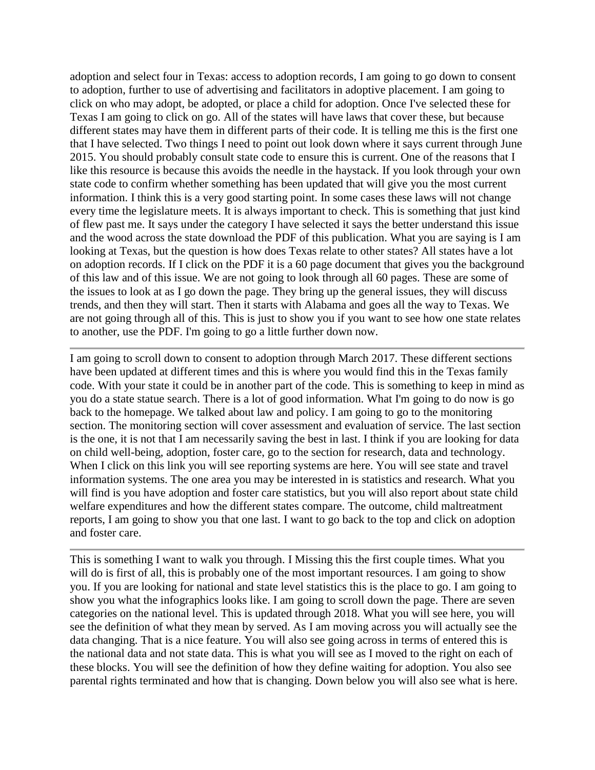adoption and select four in Texas: access to adoption records, I am going to go down to consent to adoption, further to use of advertising and facilitators in adoptive placement. I am going to click on who may adopt, be adopted, or place a child for adoption. Once I've selected these for Texas I am going to click on go. All of the states will have laws that cover these, but because different states may have them in different parts of their code. It is telling me this is the first one that I have selected. Two things I need to point out look down where it says current through June 2015. You should probably consult state code to ensure this is current. One of the reasons that I like this resource is because this avoids the needle in the haystack. If you look through your own state code to confirm whether something has been updated that will give you the most current information. I think this is a very good starting point. In some cases these laws will not change every time the legislature meets. It is always important to check. This is something that just kind of flew past me. It says under the category I have selected it says the better understand this issue and the wood across the state download the PDF of this publication. What you are saying is I am looking at Texas, but the question is how does Texas relate to other states? All states have a lot on adoption records. If I click on the PDF it is a 60 page document that gives you the background of this law and of this issue. We are not going to look through all 60 pages. These are some of the issues to look at as I go down the page. They bring up the general issues, they will discuss trends, and then they will start. Then it starts with Alabama and goes all the way to Texas. We are not going through all of this. This is just to show you if you want to see how one state relates to another, use the PDF. I'm going to go a little further down now.

I am going to scroll down to consent to adoption through March 2017. These different sections have been updated at different times and this is where you would find this in the Texas family code. With your state it could be in another part of the code. This is something to keep in mind as you do a state statue search. There is a lot of good information. What I'm going to do now is go back to the homepage. We talked about law and policy. I am going to go to the monitoring section. The monitoring section will cover assessment and evaluation of service. The last section is the one, it is not that I am necessarily saving the best in last. I think if you are looking for data on child well-being, adoption, foster care, go to the section for research, data and technology. When I click on this link you will see reporting systems are here. You will see state and travel information systems. The one area you may be interested in is statistics and research. What you will find is you have adoption and foster care statistics, but you will also report about state child welfare expenditures and how the different states compare. The outcome, child maltreatment reports, I am going to show you that one last. I want to go back to the top and click on adoption and foster care.

This is something I want to walk you through. I Missing this the first couple times. What you will do is first of all, this is probably one of the most important resources. I am going to show you. If you are looking for national and state level statistics this is the place to go. I am going to show you what the infographics looks like. I am going to scroll down the page. There are seven categories on the national level. This is updated through 2018. What you will see here, you will see the definition of what they mean by served. As I am moving across you will actually see the data changing. That is a nice feature. You will also see going across in terms of entered this is the national data and not state data. This is what you will see as I moved to the right on each of these blocks. You will see the definition of how they define waiting for adoption. You also see parental rights terminated and how that is changing. Down below you will also see what is here.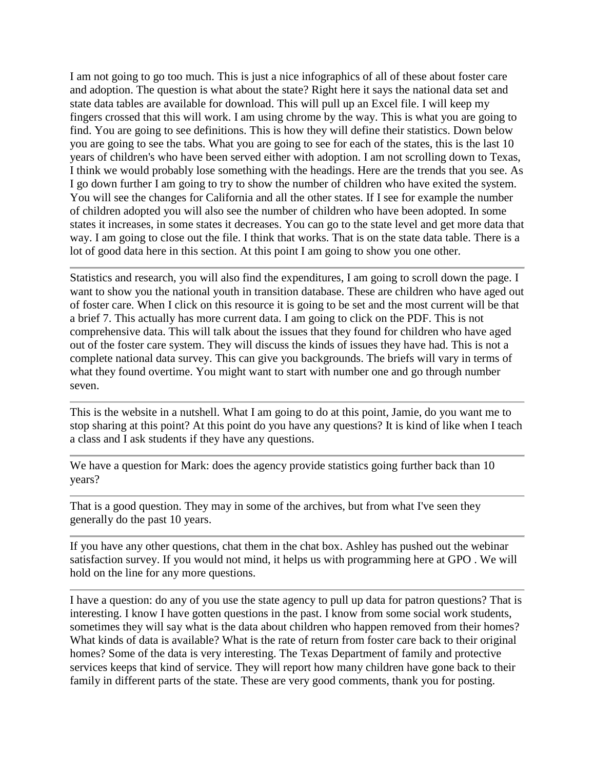I am not going to go too much. This is just a nice infographics of all of these about foster care and adoption. The question is what about the state? Right here it says the national data set and state data tables are available for download. This will pull up an Excel file. I will keep my fingers crossed that this will work. I am using chrome by the way. This is what you are going to find. You are going to see definitions. This is how they will define their statistics. Down below you are going to see the tabs. What you are going to see for each of the states, this is the last 10 years of children's who have been served either with adoption. I am not scrolling down to Texas, I think we would probably lose something with the headings. Here are the trends that you see. As I go down further I am going to try to show the number of children who have exited the system. You will see the changes for California and all the other states. If I see for example the number of children adopted you will also see the number of children who have been adopted. In some states it increases, in some states it decreases. You can go to the state level and get more data that way. I am going to close out the file. I think that works. That is on the state data table. There is a lot of good data here in this section. At this point I am going to show you one other.

Statistics and research, you will also find the expenditures, I am going to scroll down the page. I want to show you the national youth in transition database. These are children who have aged out of foster care. When I click on this resource it is going to be set and the most current will be that a brief 7. This actually has more current data. I am going to click on the PDF. This is not comprehensive data. This will talk about the issues that they found for children who have aged out of the foster care system. They will discuss the kinds of issues they have had. This is not a complete national data survey. This can give you backgrounds. The briefs will vary in terms of what they found overtime. You might want to start with number one and go through number seven.

This is the website in a nutshell. What I am going to do at this point, Jamie, do you want me to stop sharing at this point? At this point do you have any questions? It is kind of like when I teach a class and I ask students if they have any questions.

We have a question for Mark: does the agency provide statistics going further back than 10 years?

That is a good question. They may in some of the archives, but from what I've seen they generally do the past 10 years.

If you have any other questions, chat them in the chat box. Ashley has pushed out the webinar satisfaction survey. If you would not mind, it helps us with programming here at GPO . We will hold on the line for any more questions.

I have a question: do any of you use the state agency to pull up data for patron questions? That is interesting. I know I have gotten questions in the past. I know from some social work students, sometimes they will say what is the data about children who happen removed from their homes? What kinds of data is available? What is the rate of return from foster care back to their original homes? Some of the data is very interesting. The Texas Department of family and protective services keeps that kind of service. They will report how many children have gone back to their family in different parts of the state. These are very good comments, thank you for posting.